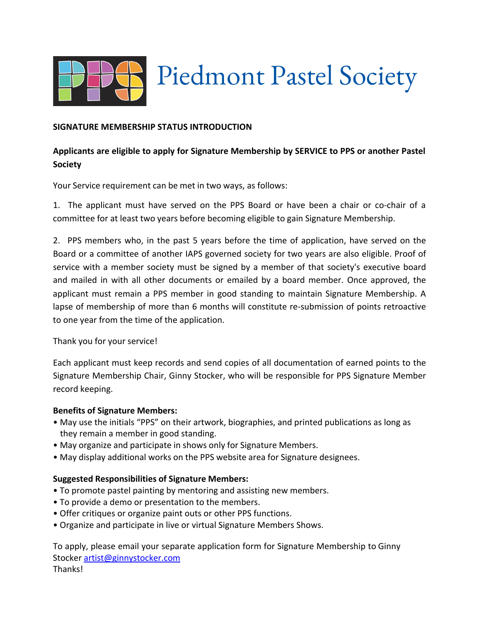

# Piedmont Pastel Society

## **SIGNATURE MEMBERSHIP STATUS INTRODUCTION**

# **Applicants are eligible to apply for Signature Membership by SERVICE to PPS or another Pastel Society**

Your Service requirement can be met in two ways, as follows:

1. The applicant must have served on the PPS Board or have been a chair or co-chair of a committee for at least two years before becoming eligible to gain Signature Membership.

2. PPS members who, in the past 5 years before the time of application, have served on the Board or a committee of another IAPS governed society for two years are also eligible. Proof of service with a member society must be signed by a member of that society's executive board and mailed in with all other documents or emailed by a board member. Once approved, the applicant must remain a PPS member in good standing to maintain Signature Membership. A lapse of membership of more than 6 months will constitute re-submission of points retroactive to one year from the time of the application.

Thank you for your service!

Each applicant must keep records and send copies of all documentation of earned points to the Signature Membership Chair, Ginny Stocker, who will be responsible for PPS Signature Member record keeping.

#### **Benefits of Signature Members:**

- May use the initials "PPS" on their artwork, biographies, and printed publications as long as they remain a member in good standing.
- May organize and participate in shows only for Signature Members.
- May display additional works on the PPS website area for Signature designees.

#### **Suggested Responsibilities of Signature Members:**

- To promote pastel painting by mentoring and assisting new members.
- To provide a demo or presentation to the members.
- Offer critiques or organize paint outs or other PPS functions.
- Organize and participate in live or virtual Signature Members Shows.

To apply, please email your separate application form for Signature Membership to Ginny Stocker artist@ginnystocker.com Thanks!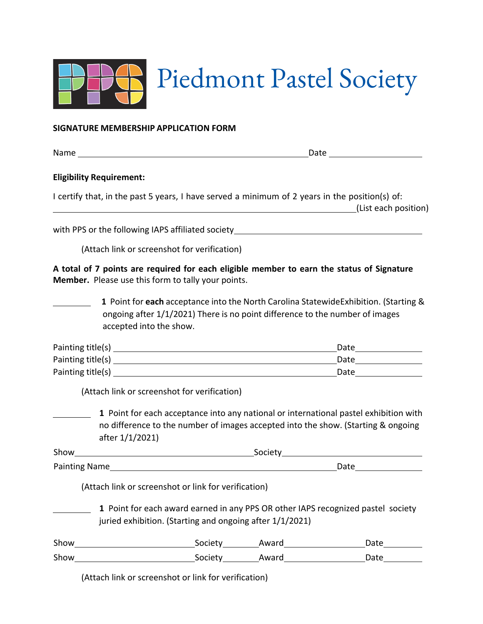

#### **SIGNATURE MEMBERSHIP APPLICATION FORM**

Name Date

### **Eligibility Requirement:**

I certify that, in the past 5 years, I have served a minimum of 2 years in the position(s) of: (List each position)

with PPS or the following IAPS affiliated society\_\_\_\_\_\_\_\_\_\_\_\_\_\_\_\_\_\_\_\_\_\_\_\_\_\_\_\_\_\_\_

(Attach link or screenshot for verification)

**A total of 7 points are required for each eligible member to earn the status of Signature Member.** Please use this form to tally your points.

 **1** Point for **each** acceptance into the North Carolina StatewideExhibition. (Starting & ongoing after 1/1/2021) There is no point difference to the number of images accepted into the show.

| Painting title(s) | Date |
|-------------------|------|
| Painting title(s) | Date |
| Painting title(s) | Date |

(Attach link or screenshot for verification)

 **1** Point for each acceptance into any national or international pastel exhibition with no difference to the number of images accepted into the show. (Starting & ongoing after 1/1/2021)

| Show          | Society |
|---------------|---------|
| Painting Name | Date    |

(Attach link or screenshot or link for verification)

 **1** Point for each award earned in any PPS OR other IAPS recognized pastel society juried exhibition. (Starting and ongoing after 1/1/2021)

| Show | Societv | Award | Date |
|------|---------|-------|------|
| Show | Society | Award | Date |

(Attach link or screenshot or link for verification)